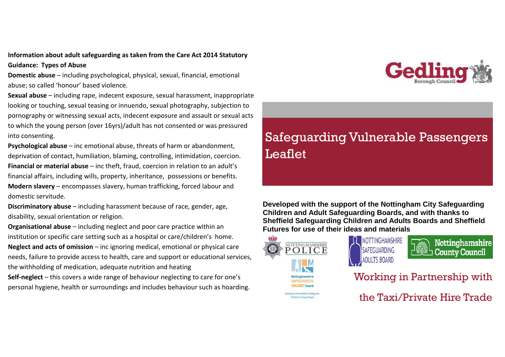#### **Information about adult safeguarding as taken from the Care Act 2014 Statutory Guidance: Types of Abuse**

**Domestic abuse** – including psychological, physical, sexual, financial, emotional abuse; so called 'honour' based violence.

**Sexual abuse** – including rape, indecent exposure, sexual harassment, inappropriate looking or touching, sexual teasing or innuendo, sexual photography, subjection to pornography or witnessing sexual acts, indecent exposure and assault or sexual acts to which the young person (over 16yrs)/adult has not consented or was pressured into consenting.

**Psychological abuse** – inc emotional abuse, threats of harm or abandonment, deprivation of contact, humiliation, blaming, controlling, intimidation, coercion. **Financial or material abuse** – inc theft, fraud, coercion in relation to an adult's financial affairs, including wills, property, inheritance, possessions or benefits. **Modern slavery** – encompasses slavery, human trafficking, forced labour and domestic servitude.

**Discriminatory abuse** – including harassment because of race, gender, age, disability, sexual orientation or religion.

**Organisational abuse** – including neglect and poor care practice within an institution or specific care setting such as a hospital or care/children's home. **Neglect and acts of omission** – inc ignoring medical, emotional or physical care needs, failure to provide access to health, care and support or educational services, the withholding of medication, adequate nutrition and heating

**Self-neglect** – this covers a wide range of behaviour neglecting to care for one's personal hygiene, health or surroundings and includes behaviour such as hoarding.



# Safeguarding Vulnerable Passengers Leaflet

**Developed with the support of the Nottingham City Safeguarding Children and Adult Safeguarding Boards, and with thanks to Sheffield Safeguarding Children and Adults Boards and Sheffield Futures for use of their ideas and materials**



**Children & Young People** 



Nottinghamshire **County Council** 

Working in Partnership with

the Taxi/Private Hire Trade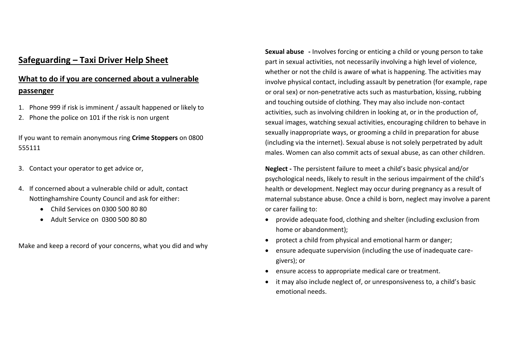## **Safeguarding – Taxi Driver Help Sheet**

## **What to do if you are concerned about a vulnerable passenger**

- 1. Phone 999 if risk is imminent / assault happened or likely to
- 2. Phone the police on 101 if the risk is non urgent

If you want to remain anonymous ring **Crime Stoppers** on 0800 555111

- 3. Contact your operator to get advice or,
- 4. If concerned about a vulnerable child or adult, contact Nottinghamshire County Council and ask for either:
	- Child Services on 0300 500 80 80
	- Adult Service on 0300 500 80 80

Make and keep a record of your concerns, what you did and why

**Sexual abuse -** Involves forcing or enticing a child or young person to take part in sexual activities, not necessarily involving a high level of violence, whether or not the child is aware of what is happening. The activities may involve physical contact, including assault by penetration (for example, rape or oral sex) or non-penetrative acts such as masturbation, kissing, rubbing and touching outside of clothing. They may also include non-contact activities, such as involving children in looking at, or in the production of, sexual images, watching sexual activities, encouraging children to behave in sexually inappropriate ways, or grooming a child in preparation for abuse (including via the internet). Sexual abuse is not solely perpetrated by adult males. Women can also commit acts of sexual abuse, as can other children.

**Neglect -** The persistent failure to meet a child's basic physical and/or psychological needs, likely to result in the serious impairment of the child's health or development. Neglect may occur during pregnancy as a result of maternal substance abuse. Once a child is born, neglect may involve a parent or carer failing to:

- provide adequate food, clothing and shelter (including exclusion from home or abandonment);
- protect a child from physical and emotional harm or danger;
- ensure adequate supervision (including the use of inadequate caregivers); or
- ensure access to appropriate medical care or treatment.
- it may also include neglect of, or unresponsiveness to, a child's basic emotional needs.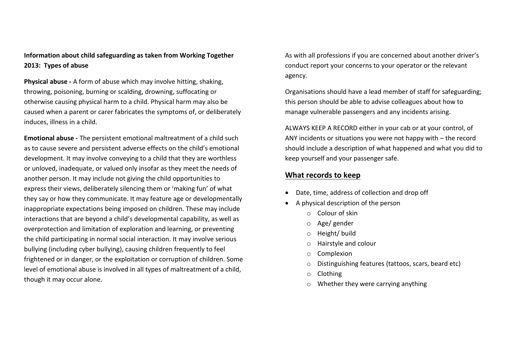#### **Information about child safeguarding as taken from Working Together 2013: Types of abuse**

**Physical abuse -** A form of abuse which may involve hitting, shaking, throwing, poisoning, burning or scalding, drowning, suffocating or otherwise causing physical harm to a child. Physical harm may also be caused when a parent or carer fabricates the symptoms of, or deliberately induces, illness in a child.

**Emotional abuse -** The persistent emotional maltreatment of a child such as to cause severe and persistent adverse effects on the child's emotional development. It may involve conveying to a child that they are worthless or unloved, inadequate, or valued only insofar as they meet the needs of another person. It may include not giving the child opportunities to express their views, deliberately silencing them or 'making fun' of what they say or how they communicate. It may feature age or developmentally inappropriate expectations being imposed on children. These may include interactions that are beyond a child's developmental capability, as well as overprotection and limitation of exploration and learning, or preventing the child participating in normal social interaction. It may involve serious bullying (including cyber bullying), causing children frequently to feel frightened or in danger, or the exploitation or corruption of children. Some level of emotional abuse is involved in all types of maltreatment of a child, though it may occur alone.

As with all professions if you are concerned about another driver's conduct report your concerns to your operator or the relevant agency.

Organisations should have a lead member of staff for safeguarding; this person should be able to advise colleagues about how to manage vulnerable passengers and any incidents arising.

ALWAYS KEEP A RECORD either in your cab or at your control, of ANY incidents or situations you were not happy with – the record should include a description of what happened and what you did to keep yourself and your passenger safe.

#### **What records to keep**

- Date, time, address of collection and drop off
- A physical description of the person
	- o Colour of skin
	- o Age/ gender
	- o Height/ build
	- o Hairstyle and colour
	- o Complexion
	- o Distinguishing features (tattoos, scars, beard etc)
	- o Clothing
	- o Whether they were carrying anything